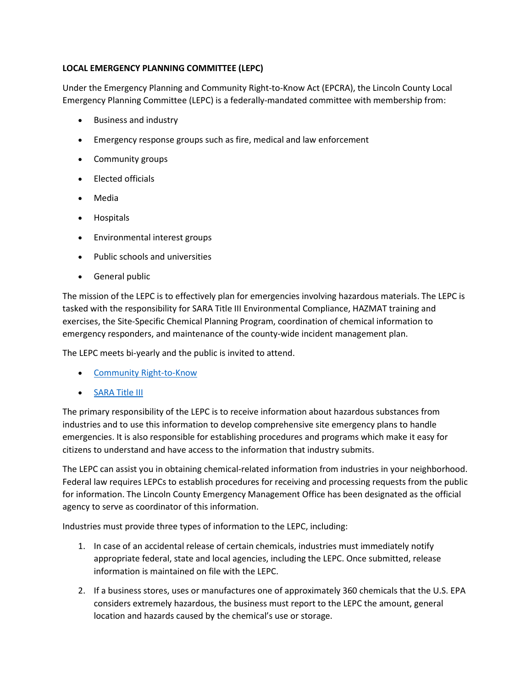## LOCAL EMERGENCY PLANNING COMMITTEE (LEPC)

Under the Emergency Planning and Community Right-to-Know Act (EPCRA), the Lincoln County Local Emergency Planning Committee (LEPC) is a federally-mandated committee with membership from:

- Business and industry
- Emergency response groups such as fire, medical and law enforcement
- Community groups
- Elected officials
- Media
- Hospitals
- Environmental interest groups
- Public schools and universities
- **•** General public

The mission of the LEPC is to effectively plan for emergencies involving hazardous materials. The LEPC is tasked with the responsibility for SARA Title III Environmental Compliance, HAZMAT training and exercises, the Site-Specific Chemical Planning Program, coordination of chemical information to emergency responders, and maintenance of the county-wide incident management plan.

The LEPC meets bi-yearly and the public is invited to attend.

- Community Right-to-Know
- SARA Title III

The primary responsibility of the LEPC is to receive information about hazardous substances from industries and to use this information to develop comprehensive site emergency plans to handle emergencies. It is also responsible for establishing procedures and programs which make it easy for citizens to understand and have access to the information that industry submits.

The LEPC can assist you in obtaining chemical-related information from industries in your neighborhood. Federal law requires LEPCs to establish procedures for receiving and processing requests from the public for information. The Lincoln County Emergency Management Office has been designated as the official agency to serve as coordinator of this information.

Industries must provide three types of information to the LEPC, including:

- 1. In case of an accidental release of certain chemicals, industries must immediately notify appropriate federal, state and local agencies, including the LEPC. Once submitted, release information is maintained on file with the LEPC.
- 2. If a business stores, uses or manufactures one of approximately 360 chemicals that the U.S. EPA considers extremely hazardous, the business must report to the LEPC the amount, general location and hazards caused by the chemical's use or storage.